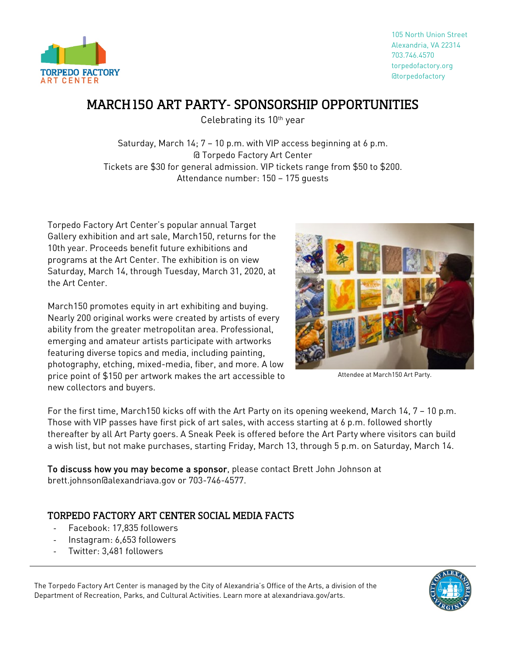

## MARCH 150 ART PARTY- SPONSORSHIP OPPORTUNITIES

Celebrating its 10th year

Saturday, March  $14: 7 - 10$  p.m. with VIP access beginning at 6 p.m. @ Torpedo Factory Art Center Tickets are \$30 for general admission. VIP tickets range from \$50 to \$200. Attendance number: 150 – 175 guests

Torpedo Factory Art Center's popular annual Target Gallery exhibition and art sale, March150, returns for the 10th year. Proceeds benefit future exhibitions and programs at the Art Center. The exhibition is on view Saturday, March 14, through Tuesday, March 31, 2020, at the Art Center.

March150 promotes equity in art exhibiting and buying. Nearly 200 original works were created by artists of every ability from the greater metropolitan area. Professional, emerging and amateur artists participate with artworks featuring diverse topics and media, including painting, photography, etching, mixed-media, fiber, and more. A low price point of \$150 per artwork makes the art accessible to new collectors and buyers.



Attendee at March150 Art Party.

For the first time, March150 kicks off with the Art Party on its opening weekend, March 14, 7 – 10 p.m. Those with VIP passes have first pick of art sales, with access starting at 6 p.m. followed shortly thereafter by all Art Party goers. A Sneak Peek is offered before the Art Party where visitors can build a wish list, but not make purchases, starting Friday, March 13, through 5 p.m. on Saturday, March 14.

To discuss how you may become a sponsor, please contact Brett John Johnson at brett.johnson@alexandriava.gov or 703-746-4577.

## TORPEDO FACTORY ART CENTER SOCIAL MEDIA FACTS

- Facebook: 17,835 followers
- Instagram: 6,653 followers
- Twitter: 3.481 followers

The Torpedo Factory Art Center is managed by the City of Alexandria's Office of the Arts, a division of the Department of Recreation, Parks, and Cultural Activities. Learn more at alexandriava.gov/arts.